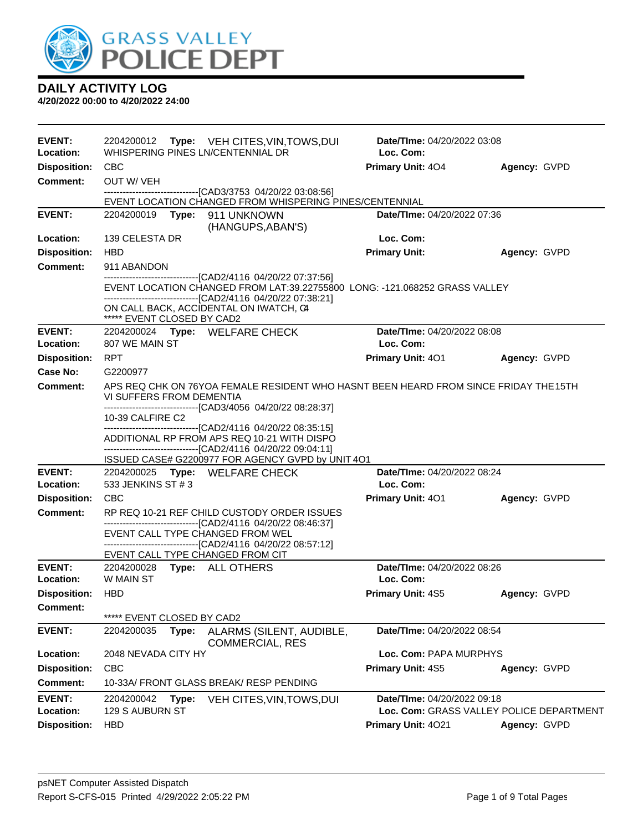

| <b>EVENT:</b><br>Location: | 2204200012                 |       | <b>Type:</b> VEH CITES, VIN, TOWS, DUI<br>WHISPERING PINES LN/CENTENNIAL DR                                                                                                                                 | Date/TIme: 04/20/2022 03:08<br>Loc. Com: |                                          |
|----------------------------|----------------------------|-------|-------------------------------------------------------------------------------------------------------------------------------------------------------------------------------------------------------------|------------------------------------------|------------------------------------------|
| <b>Disposition:</b>        | <b>CBC</b>                 |       |                                                                                                                                                                                                             | <b>Primary Unit: 404</b>                 | Agency: GVPD                             |
| <b>Comment:</b>            | OUT W/ VEH                 |       |                                                                                                                                                                                                             |                                          |                                          |
|                            |                            |       | --------------------------------[CAD3/3753_04/20/22_03:08:56]<br>EVENT LOCATION CHANGED FROM WHISPERING PINES/CENTENNIAL                                                                                    |                                          |                                          |
| <b>EVENT:</b>              | 2204200019                 |       | Type: 911 UNKNOWN                                                                                                                                                                                           | <b>Date/Time: 04/20/2022 07:36</b>       |                                          |
|                            |                            |       | (HANGUPS, ABAN'S)                                                                                                                                                                                           |                                          |                                          |
| <b>Location:</b>           | 139 CELESTA DR             |       |                                                                                                                                                                                                             | Loc. Com:                                |                                          |
| <b>Disposition:</b>        | <b>HBD</b>                 |       |                                                                                                                                                                                                             | <b>Primary Unit:</b>                     | Agency: GVPD                             |
| Comment:                   | 911 ABANDON                |       |                                                                                                                                                                                                             |                                          |                                          |
|                            |                            |       | ---------------------------------[CAD2/4116 04/20/22 07:37:56]<br>EVENT LOCATION CHANGED FROM LAT:39.22755800 LONG: -121.068252 GRASS VALLEY<br>------------------------------[CAD2/4116_04/20/22 07:38:21] |                                          |                                          |
|                            | ***** EVENT CLOSED BY CAD2 |       | ON CALL BACK, ACCIDENTAL ON IWATCH, C4                                                                                                                                                                      |                                          |                                          |
| <b>EVENT:</b><br>Location: | 807 WE MAIN ST             |       | 2204200024 Type: WELFARE CHECK                                                                                                                                                                              | Date/TIme: 04/20/2022 08:08<br>Loc. Com: |                                          |
| <b>Disposition:</b>        | <b>RPT</b>                 |       |                                                                                                                                                                                                             | <b>Primary Unit: 401</b>                 | Agency: GVPD                             |
| Case No:                   | G2200977                   |       |                                                                                                                                                                                                             |                                          |                                          |
| <b>Comment:</b>            | VI SUFFERS FROM DEMENTIA   |       | APS REQ CHK ON 76YOA FEMALE RESIDENT WHO HASNT BEEN HEARD FROM SINCE FRIDAY THE 15TH<br>-------------------------------[CAD3/4056 04/20/22 08:28:37]                                                        |                                          |                                          |
|                            | 10-39 CALFIRE C2           |       |                                                                                                                                                                                                             |                                          |                                          |
|                            |                            |       | --------------------------------[CAD2/4116 04/20/22 08:35:15]<br>ADDITIONAL RP FROM APS REQ 10-21 WITH DISPO                                                                                                |                                          |                                          |
|                            |                            |       | -------------------------------[CAD2/4116 04/20/22 09:04:11]                                                                                                                                                |                                          |                                          |
|                            |                            |       | ISSUED CASE# G2200977 FOR AGENCY GVPD by UNIT 4O1                                                                                                                                                           |                                          |                                          |
| <b>EVENT:</b>              |                            |       | 2204200025 Type: WELFARE CHECK                                                                                                                                                                              | Date/TIme: 04/20/2022 08:24              |                                          |
| Location:                  | 533 JENKINS ST # 3         |       |                                                                                                                                                                                                             | Loc. Com:                                |                                          |
| <b>Disposition:</b>        | <b>CBC</b>                 |       |                                                                                                                                                                                                             | <b>Primary Unit: 401</b>                 | Agency: GVPD                             |
| <b>Comment:</b>            |                            |       | RP REQ 10-21 REF CHILD CUSTODY ORDER ISSUES<br>------------------------------[CAD2/4116 04/20/22 08:46:37]                                                                                                  |                                          |                                          |
|                            |                            |       | EVENT CALL TYPE CHANGED FROM WEL                                                                                                                                                                            |                                          |                                          |
|                            |                            |       | ------------------------------[CAD2/4116_04/20/22_08:57:12]<br>EVENT CALL TYPE CHANGED FROM CIT                                                                                                             |                                          |                                          |
| <b>EVENT:</b>              | 2204200028                 |       | Type: ALL OTHERS                                                                                                                                                                                            | Date/TIme: 04/20/2022 08:26              |                                          |
| <b>Location:</b>           | W MAIN ST                  |       |                                                                                                                                                                                                             | Loc. Com:                                |                                          |
| <b>Disposition:</b>        | <b>HBD</b>                 |       |                                                                                                                                                                                                             | <b>Primary Unit: 4S5</b>                 | Agency: GVPD                             |
| <b>Comment:</b>            | ***** EVENT CLOSED BY CAD2 |       |                                                                                                                                                                                                             |                                          |                                          |
| <b>EVENT:</b>              | 2204200035                 | Type: | ALARMS (SILENT, AUDIBLE,<br><b>COMMERCIAL, RES</b>                                                                                                                                                          | Date/TIme: 04/20/2022 08:54              |                                          |
| Location:                  | 2048 NEVADA CITY HY        |       |                                                                                                                                                                                                             | Loc. Com: PAPA MURPHYS                   |                                          |
| <b>Disposition:</b>        | <b>CBC</b>                 |       |                                                                                                                                                                                                             | Primary Unit: 4S5                        | Agency: GVPD                             |
| Comment:                   |                            |       | 10-33A/ FRONT GLASS BREAK/ RESP PENDING                                                                                                                                                                     |                                          |                                          |
| <b>EVENT:</b>              | 2204200042                 | Type: | VEH CITES, VIN, TOWS, DUI                                                                                                                                                                                   | Date/TIme: 04/20/2022 09:18              |                                          |
| Location:                  | 129 S AUBURN ST            |       |                                                                                                                                                                                                             |                                          | Loc. Com: GRASS VALLEY POLICE DEPARTMENT |
| <b>Disposition:</b>        | <b>HBD</b>                 |       |                                                                                                                                                                                                             | Primary Unit: 4021                       | Agency: GVPD                             |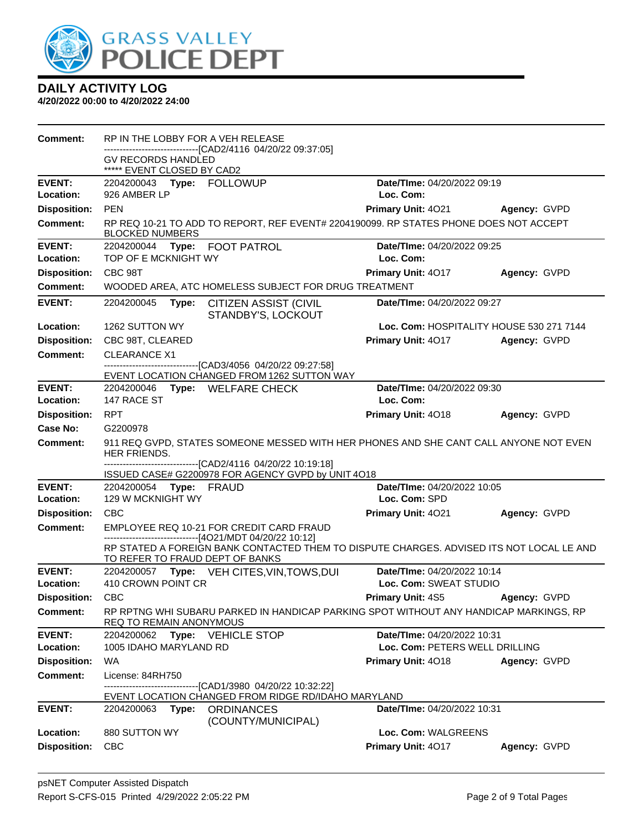

| Comment:                   | RP IN THE LOBBY FOR A VEH RELEASE<br>-------------------------[CAD2/4116_04/20/22_09:37:05]                                 |                                          |              |
|----------------------------|-----------------------------------------------------------------------------------------------------------------------------|------------------------------------------|--------------|
|                            | <b>GV RECORDS HANDLED</b><br>***** EVENT CLOSED BY CAD2                                                                     |                                          |              |
| <b>EVENT:</b><br>Location: | 926 AMBER LP                                                                                                                | Date/TIme: 04/20/2022 09:19<br>Loc. Com: |              |
| <b>Disposition:</b>        | <b>PEN</b>                                                                                                                  | <b>Primary Unit: 4021</b>                | Agency: GVPD |
| <b>Comment:</b>            | RP REQ 10-21 TO ADD TO REPORT, REF EVENT# 2204190099. RP STATES PHONE DOES NOT ACCEPT<br><b>BLOCKED NUMBERS</b>             |                                          |              |
| <b>EVENT:</b><br>Location: | 2204200044 Type: FOOT PATROL<br>TOP OF E MCKNIGHT WY                                                                        | Date/TIme: 04/20/2022 09:25<br>Loc. Com: |              |
| <b>Disposition:</b>        | CBC 98T                                                                                                                     | Primary Unit: 4017                       | Agency: GVPD |
| <b>Comment:</b>            | WOODED AREA, ATC HOMELESS SUBJECT FOR DRUG TREATMENT                                                                        |                                          |              |
| <b>EVENT:</b>              | 2204200045<br>Type: CITIZEN ASSIST (CIVIL<br>STANDBY'S, LOCKOUT                                                             | Date/TIme: 04/20/2022 09:27              |              |
| Location:                  | 1262 SUTTON WY                                                                                                              | Loc. Com: HOSPITALITY HOUSE 530 271 7144 |              |
| <b>Disposition:</b>        | CBC 98T, CLEARED                                                                                                            | <b>Primary Unit: 4017</b>                | Agency: GVPD |
| <b>Comment:</b>            | <b>CLEARANCE X1</b>                                                                                                         |                                          |              |
|                            | -------------------------------[CAD3/4056 04/20/22 09:27:58]<br>EVENT LOCATION CHANGED FROM 1262 SUTTON WAY                 |                                          |              |
| <b>EVENT:</b>              | 2204200046 Type: WELFARE CHECK                                                                                              | Date/TIme: 04/20/2022 09:30              |              |
| Location:                  | 147 RACE ST                                                                                                                 | Loc. Com:                                |              |
| <b>Disposition:</b>        | <b>RPT</b>                                                                                                                  | Primary Unit: 4018                       | Agency: GVPD |
| Case No:                   | G2200978                                                                                                                    |                                          |              |
| Comment:                   | 911 REQ GVPD, STATES SOMEONE MESSED WITH HER PHONES AND SHE CANT CALL ANYONE NOT EVEN<br>HER FRIENDS.                       |                                          |              |
|                            | -------------------------------[CAD2/4116 04/20/22 10:19:18]<br>ISSUED CASE# G2200978 FOR AGENCY GVPD by UNIT 4O18          |                                          |              |
| <b>EVENT:</b>              | 2204200054 Type: FRAUD                                                                                                      | Date/TIme: 04/20/2022 10:05              |              |
| Location:                  | 129 W MCKNIGHT WY                                                                                                           | Loc. Com: SPD                            |              |
| <b>Disposition:</b>        | CBC                                                                                                                         | Primary Unit: 4021                       | Agency: GVPD |
| <b>Comment:</b>            | EMPLOYEE REQ 10-21 FOR CREDIT CARD FRAUD<br>------------------------------[4O21/MDT 04/20/22 10:12]                         |                                          |              |
|                            | RP STATED A FOREIGN BANK CONTACTED THEM TO DISPUTE CHARGES. ADVISED ITS NOT LOCAL LE AND<br>TO REFER TO FRAUD DEPT OF BANKS |                                          |              |
| <b>EVENT:</b>              | 2204200057 Type: VEH CITES, VIN, TOWS, DUI                                                                                  | Date/TIme: 04/20/2022 10:14              |              |
| Location:                  | 410 CROWN POINT CR                                                                                                          | Loc. Com: SWEAT STUDIO                   |              |
| Disposition: CBC           |                                                                                                                             | Primary Unit: 4S5 Agency: GVPD           |              |
| Comment:                   | RP RPTNG WHI SUBARU PARKED IN HANDICAP PARKING SPOT WITHOUT ANY HANDICAP MARKINGS, RP<br>REQ TO REMAIN ANONYMOUS            |                                          |              |
| <b>EVENT:</b>              | 2204200062<br><b>Type: VEHICLE STOP</b>                                                                                     | Date/TIme: 04/20/2022 10:31              |              |
| Location:                  | 1005 IDAHO MARYLAND RD                                                                                                      | Loc. Com: PETERS WELL DRILLING           |              |
| <b>Disposition:</b>        | WA                                                                                                                          | <b>Primary Unit: 4018</b>                | Agency: GVPD |
| <b>Comment:</b>            | License: 84RH750<br>-------------------------------[CAD1/3980_04/20/22 10:32:22]                                            |                                          |              |
|                            | EVENT LOCATION CHANGED FROM RIDGE RD/IDAHO MARYLAND                                                                         |                                          |              |
| <b>EVENT:</b>              | 2204200063<br>Type:<br><b>ORDINANCES</b><br>(COUNTY/MUNICIPAL)                                                              | Date/TIme: 04/20/2022 10:31              |              |
| Location:                  | 880 SUTTON WY                                                                                                               | Loc. Com: WALGREENS                      |              |
| <b>Disposition:</b>        | <b>CBC</b>                                                                                                                  | Primary Unit: 4017                       | Agency: GVPD |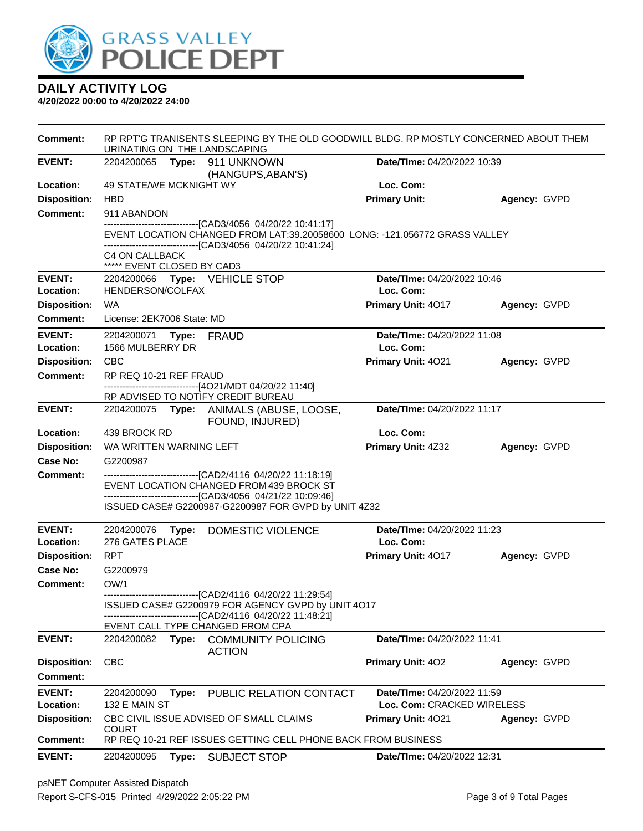

| <b>Comment:</b>                  | RP RPT'G TRANISENTS SLEEPING BY THE OLD GOODWILL BLDG. RP MOSTLY CONCERNED ABOUT THEM<br>URINATING ON THE LANDSCAPING |       |                                                                                                               |                                          |              |
|----------------------------------|-----------------------------------------------------------------------------------------------------------------------|-------|---------------------------------------------------------------------------------------------------------------|------------------------------------------|--------------|
| <b>EVENT:</b>                    |                                                                                                                       |       | 2204200065    Type: 911    UNKNOWN                                                                            | Date/TIme: 04/20/2022 10:39              |              |
|                                  | 49 STATE/WE MCKNIGHT WY                                                                                               |       | (HANGUPS, ABAN'S)                                                                                             | Loc. Com:                                |              |
| Location:<br><b>Disposition:</b> | <b>HBD</b>                                                                                                            |       |                                                                                                               | <b>Primary Unit:</b>                     |              |
| <b>Comment:</b>                  | 911 ABANDON                                                                                                           |       |                                                                                                               |                                          | Agency: GVPD |
|                                  |                                                                                                                       |       | --------------------------[CAD3/4056_04/20/22 10:41:17]                                                       |                                          |              |
|                                  |                                                                                                                       |       | EVENT LOCATION CHANGED FROM LAT:39.20058600 LONG: -121.056772 GRASS VALLEY                                    |                                          |              |
|                                  | C4 ON CALLBACK                                                                                                        |       | -------------------------------[CAD3/4056 04/20/22 10:41:24]                                                  |                                          |              |
|                                  | ***** EVENT CLOSED BY CAD3                                                                                            |       |                                                                                                               |                                          |              |
| <b>EVENT:</b>                    |                                                                                                                       |       | 2204200066 Type: VEHICLE STOP                                                                                 | Date/TIme: 04/20/2022 10:46              |              |
| Location:                        | HENDERSON/COLFAX                                                                                                      |       |                                                                                                               | Loc. Com:                                |              |
| <b>Disposition:</b>              | WA                                                                                                                    |       |                                                                                                               | Primary Unit: 4017                       | Agency: GVPD |
| Comment:                         | License: 2EK7006 State: MD                                                                                            |       |                                                                                                               |                                          |              |
| <b>EVENT:</b><br>Location:       | 2204200071 Type: FRAUD<br>1566 MULBERRY DR                                                                            |       |                                                                                                               | Date/TIme: 04/20/2022 11:08<br>Loc. Com: |              |
| <b>Disposition:</b>              | <b>CBC</b>                                                                                                            |       |                                                                                                               | Primary Unit: 4021                       | Agency: GVPD |
| Comment:                         | RP REQ 10-21 REF FRAUD                                                                                                |       |                                                                                                               |                                          |              |
|                                  |                                                                                                                       |       | -------------------------------[4O21/MDT 04/20/22 11:40]                                                      |                                          |              |
|                                  |                                                                                                                       |       | RP ADVISED TO NOTIFY CREDIT BUREAU                                                                            |                                          |              |
| <b>EVENT:</b>                    |                                                                                                                       |       | 2204200075 Type: ANIMALS (ABUSE, LOOSE,<br>FOUND, INJURED)                                                    | Date/TIme: 04/20/2022 11:17              |              |
| Location:                        | 439 BROCK RD                                                                                                          |       |                                                                                                               | Loc. Com:                                |              |
| <b>Disposition:</b>              | WA WRITTEN WARNING LEFT                                                                                               |       |                                                                                                               | Primary Unit: 4Z32                       | Agency: GVPD |
| <b>Case No:</b>                  | G2200987                                                                                                              |       |                                                                                                               |                                          |              |
| Comment:                         |                                                                                                                       |       | ------------------------------[CAD2/4116 04/20/22 11:18:19]                                                   |                                          |              |
|                                  |                                                                                                                       |       | EVENT LOCATION CHANGED FROM 439 BROCK ST<br>-------------------------------[CAD3/4056 04/21/22 10:09:46]      |                                          |              |
|                                  |                                                                                                                       |       | ISSUED CASE# G2200987-G2200987 FOR GVPD by UNIT 4Z32                                                          |                                          |              |
| <b>EVENT:</b>                    | 2204200076                                                                                                            | Type: | DOMESTIC VIOLENCE                                                                                             | Date/TIme: 04/20/2022 11:23              |              |
| Location:                        | 276 GATES PLACE                                                                                                       |       |                                                                                                               | Loc. Com:                                |              |
| <b>Disposition:</b>              | RPT                                                                                                                   |       |                                                                                                               | Primary Unit: 4017                       | Agency: GVPD |
| Case No:                         | G2200979                                                                                                              |       |                                                                                                               |                                          |              |
| Comment:                         | OW/1                                                                                                                  |       |                                                                                                               |                                          |              |
|                                  |                                                                                                                       |       | --------------------------[CAD2/4116 04/20/22 11:29:54]<br>ISSUED CASE# G2200979 FOR AGENCY GVPD by UNIT 4O17 |                                          |              |
|                                  |                                                                                                                       |       | -- [CAD2/4116 04/20/22 11:48:21]                                                                              |                                          |              |
|                                  |                                                                                                                       |       | EVENT CALL TYPE CHANGED FROM CPA                                                                              |                                          |              |
| <b>EVENT:</b>                    | 2204200082                                                                                                            | Type: | <b>COMMUNITY POLICING</b><br><b>ACTION</b>                                                                    | <b>Date/Time: 04/20/2022 11:41</b>       |              |
| <b>Disposition:</b>              | <b>CBC</b>                                                                                                            |       |                                                                                                               | Primary Unit: 402                        | Agency: GVPD |
| <b>Comment:</b>                  |                                                                                                                       |       |                                                                                                               |                                          |              |
| <b>EVENT:</b>                    | 2204200090                                                                                                            | Type: | PUBLIC RELATION CONTACT                                                                                       | Date/TIme: 04/20/2022 11:59              |              |
| Location:                        | 132 E MAIN ST                                                                                                         |       |                                                                                                               | Loc. Com: CRACKED WIRELESS               |              |
| <b>Disposition:</b>              |                                                                                                                       |       | CBC CIVIL ISSUE ADVISED OF SMALL CLAIMS                                                                       | Primary Unit: 4021                       | Agency: GVPD |
| <b>Comment:</b>                  | <b>COURT</b>                                                                                                          |       | RP REQ 10-21 REF ISSUES GETTING CELL PHONE BACK FROM BUSINESS                                                 |                                          |              |
| <b>EVENT:</b>                    | 2204200095                                                                                                            | Type: | SUBJECT STOP                                                                                                  | Date/TIme: 04/20/2022 12:31              |              |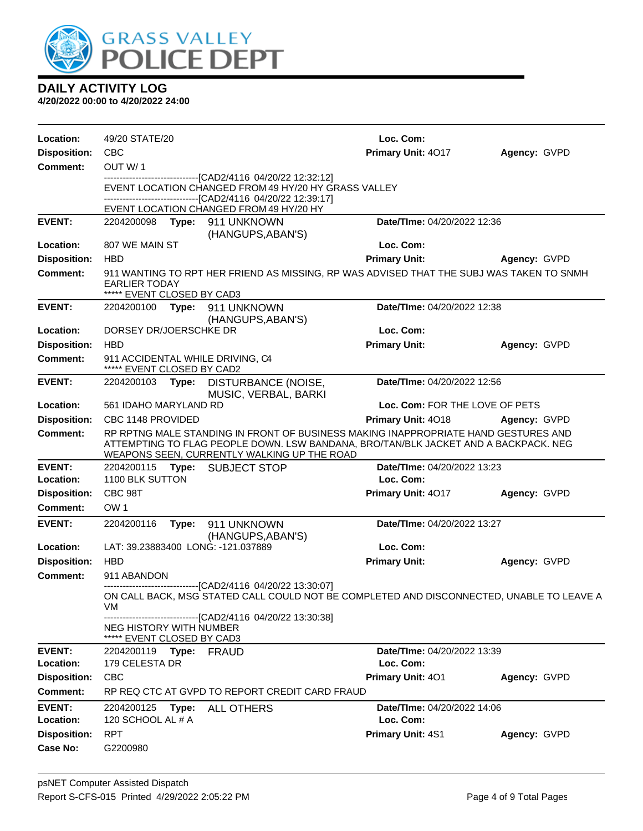

| Location:                              | 49/20 STATE/20                                                     |       |                                                                                                                                                                                     | Loc. Com:                                                                                                                                                                 |              |
|----------------------------------------|--------------------------------------------------------------------|-------|-------------------------------------------------------------------------------------------------------------------------------------------------------------------------------------|---------------------------------------------------------------------------------------------------------------------------------------------------------------------------|--------------|
| <b>Disposition:</b>                    | <b>CBC</b>                                                         |       |                                                                                                                                                                                     | Primary Unit: 4017                                                                                                                                                        | Agency: GVPD |
| <b>Comment:</b>                        | OUT W/1                                                            |       |                                                                                                                                                                                     |                                                                                                                                                                           |              |
|                                        |                                                                    |       | -------------------------------[CAD2/4116 04/20/22 12:32:12]<br>EVENT LOCATION CHANGED FROM 49 HY/20 HY GRASS VALLEY<br>------------------------------[CAD2/4116 04/20/22 12:39:17] |                                                                                                                                                                           |              |
|                                        |                                                                    |       | EVENT LOCATION CHANGED FROM 49 HY/20 HY                                                                                                                                             |                                                                                                                                                                           |              |
| <b>EVENT:</b>                          |                                                                    |       | 2204200098 Type: 911 UNKNOWN<br>(HANGUPS, ABAN'S)                                                                                                                                   | Date/TIme: 04/20/2022 12:36                                                                                                                                               |              |
| Location:                              | 807 WE MAIN ST                                                     |       |                                                                                                                                                                                     | Loc. Com:                                                                                                                                                                 |              |
| <b>Disposition:</b>                    | <b>HBD</b>                                                         |       |                                                                                                                                                                                     | <b>Primary Unit:</b>                                                                                                                                                      | Agency: GVPD |
| <b>Comment:</b>                        | <b>EARLIER TODAY</b><br>***** EVENT CLOSED BY CAD3                 |       |                                                                                                                                                                                     | 911 WANTING TO RPT HER FRIEND AS MISSING, RP WAS ADVISED THAT THE SUBJ WAS TAKEN TO SNMH                                                                                  |              |
| <b>EVENT:</b>                          |                                                                    |       | 2204200100 Type: 911 UNKNOWN<br>(HANGUPS, ABAN'S)                                                                                                                                   | Date/TIme: 04/20/2022 12:38                                                                                                                                               |              |
| Location:                              | DORSEY DR/JOERSCHKE DR                                             |       |                                                                                                                                                                                     | Loc. Com:                                                                                                                                                                 |              |
| <b>Disposition:</b>                    | <b>HBD</b>                                                         |       |                                                                                                                                                                                     | <b>Primary Unit:</b>                                                                                                                                                      | Agency: GVPD |
| Comment:                               | ***** EVENT CLOSED BY CAD2                                         |       | 911 ACCIDENTAL WHILE DRIVING, C4                                                                                                                                                    |                                                                                                                                                                           |              |
| <b>EVENT:</b>                          |                                                                    |       | 2204200103 Type: DISTURBANCE (NOISE,<br>MUSIC, VERBAL, BARKI                                                                                                                        | Date/TIme: 04/20/2022 12:56                                                                                                                                               |              |
| Location:                              | 561 IDAHO MARYLAND RD                                              |       |                                                                                                                                                                                     | Loc. Com: FOR THE LOVE OF PETS                                                                                                                                            |              |
| <b>Disposition:</b>                    | CBC 1148 PROVIDED                                                  |       |                                                                                                                                                                                     | Primary Unit: 4018                                                                                                                                                        | Agency: GVPD |
| <b>Comment:</b>                        |                                                                    |       | WEAPONS SEEN, CURRENTLY WALKING UP THE ROAD                                                                                                                                         | RP RPTNG MALE STANDING IN FRONT OF BUSINESS MAKING INAPPROPRIATE HAND GESTURES AND<br>ATTEMPTING TO FLAG PEOPLE DOWN. LSW BANDANA, BRO/TAN/BLK JACKET AND A BACKPACK. NEG |              |
| <b>EVENT:</b>                          |                                                                    |       | 2204200115 Type: SUBJECT STOP                                                                                                                                                       | Date/TIme: 04/20/2022 13:23                                                                                                                                               |              |
| Location:                              | 1100 BLK SUTTON                                                    |       |                                                                                                                                                                                     | Loc. Com:                                                                                                                                                                 |              |
| <b>Disposition:</b>                    | CBC 98T                                                            |       |                                                                                                                                                                                     | Primary Unit: 4017                                                                                                                                                        | Agency: GVPD |
| <b>Comment:</b>                        | OW <sub>1</sub>                                                    |       |                                                                                                                                                                                     |                                                                                                                                                                           |              |
| <b>EVENT:</b>                          | 2204200116                                                         | Type: | 911 UNKNOWN<br>(HANGUPS, ABAN'S)                                                                                                                                                    | Date/TIme: 04/20/2022 13:27                                                                                                                                               |              |
| Location:                              |                                                                    |       | LAT: 39.23883400 LONG: -121.037889                                                                                                                                                  | Loc. Com:                                                                                                                                                                 |              |
| <b>Disposition:</b><br><b>Comment:</b> | <b>HBD</b><br>911 ABANDON                                          |       |                                                                                                                                                                                     | <b>Primary Unit:</b>                                                                                                                                                      | Agency: GVPD |
|                                        | VM<br><b>NEG HISTORY WITH NUMBER</b><br>***** EVENT CLOSED BY CAD3 |       | -------------------------------[CAD2/4116 04/20/22 13:30:07]<br>-------------------------------[CAD2/4116 04/20/22 13:30:38]                                                        | ON CALL BACK, MSG STATED CALL COULD NOT BE COMPLETED AND DISCONNECTED, UNABLE TO LEAVE A                                                                                  |              |
| <b>EVENT:</b>                          | 2204200119 <b>Type:</b> FRAUD                                      |       |                                                                                                                                                                                     | Date/TIme: 04/20/2022 13:39                                                                                                                                               |              |
| Location:                              | 179 CELESTA DR                                                     |       |                                                                                                                                                                                     | Loc. Com:                                                                                                                                                                 |              |
| <b>Disposition:</b>                    | <b>CBC</b>                                                         |       |                                                                                                                                                                                     | Primary Unit: 401                                                                                                                                                         | Agency: GVPD |
| <b>Comment:</b>                        |                                                                    |       | RP REQ CTC AT GVPD TO REPORT CREDIT CARD FRAUD                                                                                                                                      |                                                                                                                                                                           |              |
| <b>EVENT:</b><br>Location:             | 2204200125<br>120 SCHOOL AL # A                                    | Type: | <b>ALL OTHERS</b>                                                                                                                                                                   | Date/TIme: 04/20/2022 14:06<br>Loc. Com:                                                                                                                                  |              |
| <b>Disposition:</b>                    | <b>RPT</b>                                                         |       |                                                                                                                                                                                     | Primary Unit: 4S1                                                                                                                                                         | Agency: GVPD |
| Case No:                               | G2200980                                                           |       |                                                                                                                                                                                     |                                                                                                                                                                           |              |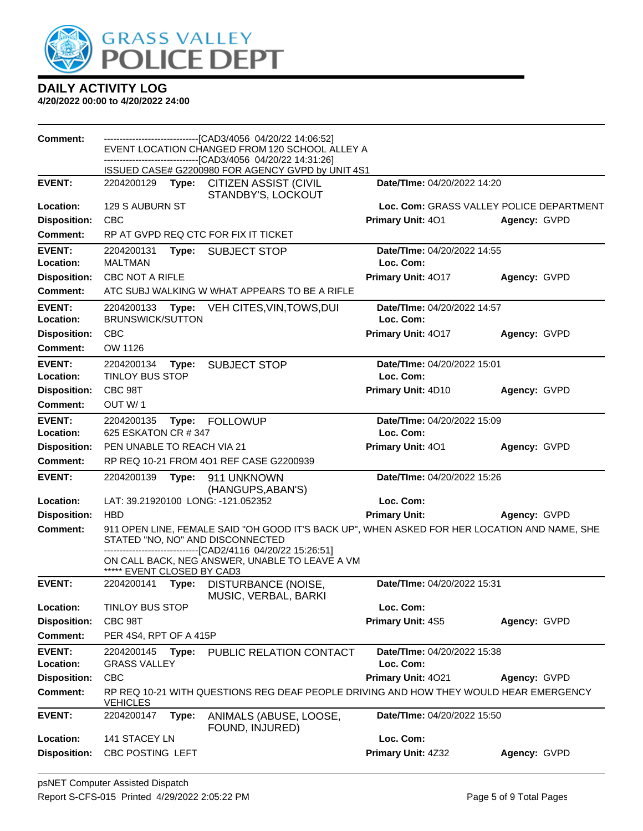

| <b>Comment:</b>                  | ------------------------------[CAD3/4056_04/20/22 14:06:52]<br>EVENT LOCATION CHANGED FROM 120 SCHOOL ALLEY A |       |                                                                                                                                  |                                          |                                          |  |  |
|----------------------------------|---------------------------------------------------------------------------------------------------------------|-------|----------------------------------------------------------------------------------------------------------------------------------|------------------------------------------|------------------------------------------|--|--|
|                                  |                                                                                                               |       | ----------------------------[CAD3/4056_04/20/22 14:31:26]<br>ISSUED CASE# G2200980 FOR AGENCY GVPD by UNIT 4S1                   |                                          |                                          |  |  |
| <b>EVENT:</b>                    |                                                                                                               |       | 2204200129 Type: CITIZEN ASSIST (CIVIL<br>STANDBY'S, LOCKOUT                                                                     | Date/TIme: 04/20/2022 14:20              |                                          |  |  |
| Location:                        | 129 S AUBURN ST                                                                                               |       |                                                                                                                                  |                                          | Loc. Com: GRASS VALLEY POLICE DEPARTMENT |  |  |
| <b>Disposition:</b>              | <b>CBC</b>                                                                                                    |       |                                                                                                                                  | Primary Unit: 401                        | Agency: GVPD                             |  |  |
| <b>Comment:</b>                  |                                                                                                               |       | RP AT GVPD REQ CTC FOR FIX IT TICKET                                                                                             |                                          |                                          |  |  |
| <b>EVENT:</b>                    | 2204200131                                                                                                    |       | Type: SUBJECT STOP                                                                                                               | Date/TIme: 04/20/2022 14:55              |                                          |  |  |
| Location:                        | <b>MALTMAN</b>                                                                                                |       |                                                                                                                                  | Loc. Com:                                |                                          |  |  |
| <b>Disposition:</b>              | <b>CBC NOT A RIFLE</b>                                                                                        |       |                                                                                                                                  | Primary Unit: 4017                       | Agency: GVPD                             |  |  |
| Comment:                         |                                                                                                               |       | ATC SUBJ WALKING W WHAT APPEARS TO BE A RIFLE                                                                                    |                                          |                                          |  |  |
| <b>EVENT:</b>                    | 2204200133                                                                                                    | Type: | VEH CITES, VIN, TOWS, DUI                                                                                                        | Date/TIme: 04/20/2022 14:57              |                                          |  |  |
| Location:                        | <b>BRUNSWICK/SUTTON</b>                                                                                       |       |                                                                                                                                  | Loc. Com:                                |                                          |  |  |
| <b>Disposition:</b>              | <b>CBC</b>                                                                                                    |       |                                                                                                                                  | Primary Unit: 4017                       | Agency: GVPD                             |  |  |
| <b>Comment:</b>                  | OW 1126                                                                                                       |       |                                                                                                                                  |                                          |                                          |  |  |
| <b>EVENT:</b><br>Location:       | 2204200134<br><b>TINLOY BUS STOP</b>                                                                          | Type: | <b>SUBJECT STOP</b>                                                                                                              | Date/TIme: 04/20/2022 15:01<br>Loc. Com: |                                          |  |  |
| <b>Disposition:</b>              | CBC 98T                                                                                                       |       |                                                                                                                                  | Primary Unit: 4D10                       | Agency: GVPD                             |  |  |
| <b>Comment:</b>                  | OUT W/1                                                                                                       |       |                                                                                                                                  |                                          |                                          |  |  |
| <b>EVENT:</b>                    | 2204200135                                                                                                    |       | Type: FOLLOWUP                                                                                                                   | Date/TIme: 04/20/2022 15:09              |                                          |  |  |
| Location:                        | 625 ESKATON CR # 347                                                                                          |       |                                                                                                                                  | Loc. Com:                                |                                          |  |  |
| <b>Disposition:</b>              | PEN UNABLE TO REACH VIA 21                                                                                    |       |                                                                                                                                  | <b>Primary Unit: 401</b>                 | Agency: GVPD                             |  |  |
| <b>Comment:</b>                  |                                                                                                               |       | RP REQ 10-21 FROM 4O1 REF CASE G2200939                                                                                          |                                          |                                          |  |  |
|                                  |                                                                                                               |       |                                                                                                                                  |                                          |                                          |  |  |
| <b>EVENT:</b>                    | 2204200139                                                                                                    | Type: | 911 UNKNOWN                                                                                                                      | Date/TIme: 04/20/2022 15:26              |                                          |  |  |
| Location:                        |                                                                                                               |       | (HANGUPS, ABAN'S)<br>LAT: 39.21920100 LONG: -121.052352                                                                          | Loc. Com:                                |                                          |  |  |
| <b>Disposition:</b>              | <b>HBD</b>                                                                                                    |       |                                                                                                                                  | <b>Primary Unit:</b>                     | Agency: GVPD                             |  |  |
| <b>Comment:</b>                  |                                                                                                               |       | 911 OPEN LINE, FEMALE SAID "OH GOOD IT'S BACK UP", WHEN ASKED FOR HER LOCATION AND NAME, SHE<br>STATED "NO, NO" AND DISCONNECTED |                                          |                                          |  |  |
|                                  | ***** EVENT CLOSED BY CAD3                                                                                    |       | -------------------------------[CAD2/4116 04/20/22 15:26:51]<br>ON CALL BACK, NEG ANSWER, UNABLE TO LEAVE A VM                   |                                          |                                          |  |  |
| <b>EVENT:</b>                    | 2204200141                                                                                                    | Type: | DISTURBANCE (NOISE,                                                                                                              | Date/TIme: 04/20/2022 15:31              |                                          |  |  |
| Location:                        | <b>TINLOY BUS STOP</b>                                                                                        |       | MUSIC, VERBAL, BARKI                                                                                                             | Loc. Com:                                |                                          |  |  |
| <b>Disposition:</b>              | CBC 98T                                                                                                       |       |                                                                                                                                  | Primary Unit: 4S5                        | Agency: GVPD                             |  |  |
| <b>Comment:</b>                  | PER 4S4, RPT OF A 415P                                                                                        |       |                                                                                                                                  |                                          |                                          |  |  |
| <b>EVENT:</b><br>Location:       | 2204200145<br><b>GRASS VALLEY</b>                                                                             | Type: | PUBLIC RELATION CONTACT                                                                                                          | Date/TIme: 04/20/2022 15:38<br>Loc. Com: |                                          |  |  |
| <b>Disposition:</b>              | CBC                                                                                                           |       |                                                                                                                                  | Primary Unit: 4021                       | Agency: GVPD                             |  |  |
| <b>Comment:</b>                  | <b>VEHICLES</b>                                                                                               |       | RP REQ 10-21 WITH QUESTIONS REG DEAF PEOPLE DRIVING AND HOW THEY WOULD HEAR EMERGENCY                                            |                                          |                                          |  |  |
| <b>EVENT:</b>                    | 2204200147                                                                                                    | Type: | ANIMALS (ABUSE, LOOSE,<br>FOUND, INJURED)                                                                                        | Date/TIme: 04/20/2022 15:50              |                                          |  |  |
| Location:<br><b>Disposition:</b> | 141 STACEY LN<br>CBC POSTING LEFT                                                                             |       |                                                                                                                                  | Loc. Com:<br>Primary Unit: 4Z32          | Agency: GVPD                             |  |  |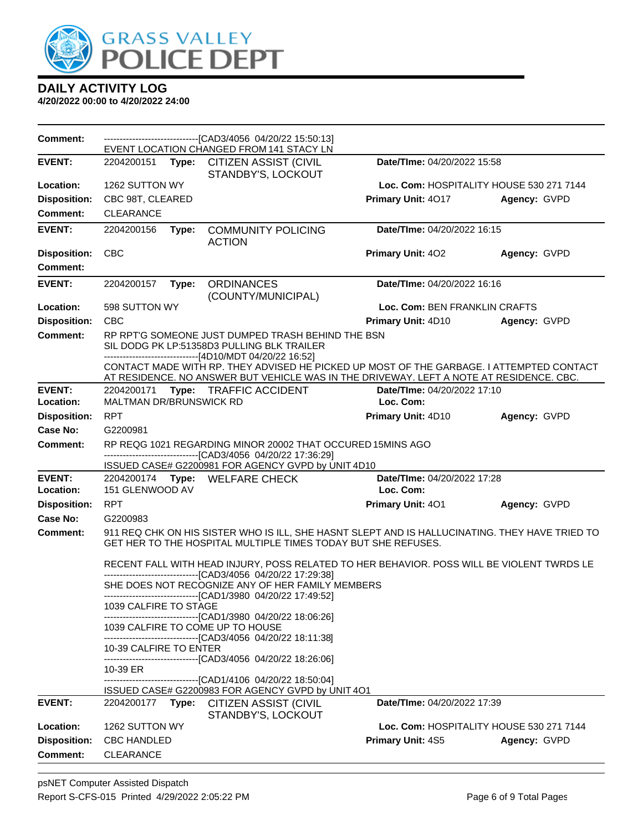

| Comment:            |                                | --------------------------------[CAD3/4056 04/20/22 15:50:13]<br>EVENT LOCATION CHANGED FROM 141 STACY LN                                                                                                                                                                      |                               |                                          |  |
|---------------------|--------------------------------|--------------------------------------------------------------------------------------------------------------------------------------------------------------------------------------------------------------------------------------------------------------------------------|-------------------------------|------------------------------------------|--|
| <b>EVENT:</b>       | 2204200151<br>Type:            | <b>CITIZEN ASSIST (CIVIL</b><br>STANDBY'S, LOCKOUT                                                                                                                                                                                                                             | Date/TIme: 04/20/2022 15:58   |                                          |  |
| Location:           | 1262 SUTTON WY                 |                                                                                                                                                                                                                                                                                |                               | Loc. Com: HOSPITALITY HOUSE 530 271 7144 |  |
| <b>Disposition:</b> | CBC 98T, CLEARED               |                                                                                                                                                                                                                                                                                | Primary Unit: 4017            | Agency: GVPD                             |  |
| <b>Comment:</b>     | CLEARANCE                      |                                                                                                                                                                                                                                                                                |                               |                                          |  |
| <b>EVENT:</b>       | 2204200156<br>Type:            | <b>COMMUNITY POLICING</b><br><b>ACTION</b>                                                                                                                                                                                                                                     | Date/TIme: 04/20/2022 16:15   |                                          |  |
| <b>Disposition:</b> | <b>CBC</b>                     |                                                                                                                                                                                                                                                                                | <b>Primary Unit: 402</b>      | Agency: GVPD                             |  |
| Comment:            |                                |                                                                                                                                                                                                                                                                                |                               |                                          |  |
| <b>EVENT:</b>       | 2204200157<br>Type:            | <b>ORDINANCES</b><br>(COUNTY/MUNICIPAL)                                                                                                                                                                                                                                        | Date/TIme: 04/20/2022 16:16   |                                          |  |
| Location:           | 598 SUTTON WY                  |                                                                                                                                                                                                                                                                                | Loc. Com: BEN FRANKLIN CRAFTS |                                          |  |
| <b>Disposition:</b> | <b>CBC</b>                     |                                                                                                                                                                                                                                                                                | Primary Unit: 4D10            | Agency: GVPD                             |  |
| <b>Comment:</b>     |                                | RP RPT'G SOMEONE JUST DUMPED TRASH BEHIND THE BSN<br>SIL DODG PK LP:51358D3 PULLING BLK TRAILER                                                                                                                                                                                |                               |                                          |  |
|                     |                                | -------------------------------[4D10/MDT 04/20/22 16:52]<br>CONTACT MADE WITH RP. THEY ADVISED HE PICKED UP MOST OF THE GARBAGE. I ATTEMPTED CONTACT<br>AT RESIDENCE. NO ANSWER BUT VEHICLE WAS IN THE DRIVEWAY. LEFT A NOTE AT RESIDENCE. CBC.                                |                               |                                          |  |
| <b>EVENT:</b>       |                                | 2204200171 Type: TRAFFIC ACCIDENT                                                                                                                                                                                                                                              | Date/TIme: 04/20/2022 17:10   |                                          |  |
| Location:           | <b>MALTMAN DR/BRUNSWICK RD</b> |                                                                                                                                                                                                                                                                                | Loc. Com:                     |                                          |  |
| <b>Disposition:</b> | <b>RPT</b>                     |                                                                                                                                                                                                                                                                                | Primary Unit: 4D10            | Agency: GVPD                             |  |
| Case No:            | G2200981                       |                                                                                                                                                                                                                                                                                |                               |                                          |  |
| Comment:            |                                | RP REQG 1021 REGARDING MINOR 20002 THAT OCCURED 15MINS AGO<br>-------------------------------[CAD3/4056 04/20/22 17:36:29]<br>ISSUED CASE# G2200981 FOR AGENCY GVPD by UNIT 4D10                                                                                               |                               |                                          |  |
| <b>EVENT:</b>       |                                | 2204200174 Type: WELFARE CHECK                                                                                                                                                                                                                                                 | Date/TIme: 04/20/2022 17:28   |                                          |  |
| Location:           | 151 GLENWOOD AV                |                                                                                                                                                                                                                                                                                | Loc. Com:                     |                                          |  |
| <b>Disposition:</b> | <b>RPT</b>                     |                                                                                                                                                                                                                                                                                | Primary Unit: 401             | Agency: GVPD                             |  |
| Case No:            | G2200983                       |                                                                                                                                                                                                                                                                                |                               |                                          |  |
| Comment:            |                                | 911 REQ CHK ON HIS SISTER WHO IS ILL, SHE HASNT SLEPT AND IS HALLUCINATING. THEY HAVE TRIED TO<br>GET HER TO THE HOSPITAL MULTIPLE TIMES TODAY BUT SHE REFUSES.                                                                                                                |                               |                                          |  |
|                     | 1039 CALFIRE TO STAGE          | RECENT FALL WITH HEAD INJURY, POSS RELATED TO HER BEHAVIOR. POSS WILL BE VIOLENT TWRDS LE<br>--------------------------------[CAD3/4056 04/20/22 17:29:38]<br>SHE DOES NOT RECOGNIZE ANY OF HER FAMILY MEMBERS<br>-------------------------------[CAD1/3980 04/20/22 17:49:52] |                               |                                          |  |
|                     |                                | ----------------------------[CAD1/3980_04/20/22 18:06:26]<br>1039 CALFIRE TO COME UP TO HOUSE                                                                                                                                                                                  |                               |                                          |  |
|                     | 10-39 CALFIRE TO ENTER         | ------------------------------[CAD3/4056_04/20/22 18:11:38]                                                                                                                                                                                                                    |                               |                                          |  |
|                     | 10-39 ER                       | ------------------------------[CAD3/4056 04/20/22 18:26:06]<br>----------------------[CAD1/4106 04/20/22 18:50:04]                                                                                                                                                             |                               |                                          |  |
|                     |                                | ISSUED CASE# G2200983 FOR AGENCY GVPD by UNIT 4O1                                                                                                                                                                                                                              |                               |                                          |  |
| <b>EVENT:</b>       | 2204200177<br>Type:            | <b>CITIZEN ASSIST (CIVIL</b><br>STANDBY'S, LOCKOUT                                                                                                                                                                                                                             | Date/TIme: 04/20/2022 17:39   |                                          |  |
| Location:           | 1262 SUTTON WY                 |                                                                                                                                                                                                                                                                                |                               | Loc. Com: HOSPITALITY HOUSE 530 271 7144 |  |
| <b>Disposition:</b> | CBC HANDLED                    |                                                                                                                                                                                                                                                                                | <b>Primary Unit: 4S5</b>      | Agency: GVPD                             |  |
| <b>Comment:</b>     | <b>CLEARANCE</b>               |                                                                                                                                                                                                                                                                                |                               |                                          |  |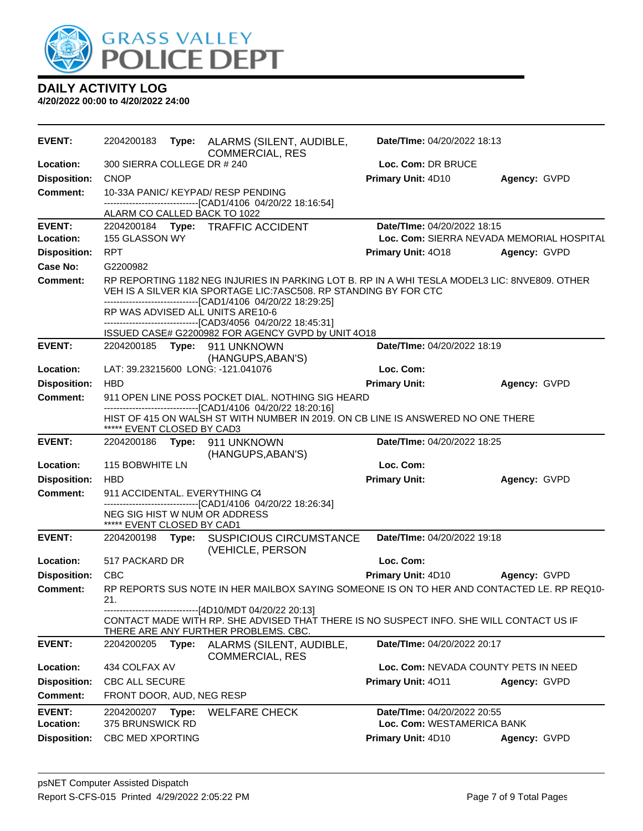

| <b>EVENT:</b>       |                               |       | 2204200183 Type: ALARMS (SILENT, AUDIBLE,<br><b>COMMERCIAL, RES</b>                                                                                                                                                                | Date/TIme: 04/20/2022 18:13               |              |
|---------------------|-------------------------------|-------|------------------------------------------------------------------------------------------------------------------------------------------------------------------------------------------------------------------------------------|-------------------------------------------|--------------|
| Location:           | 300 SIERRA COLLEGE DR # 240   |       |                                                                                                                                                                                                                                    | Loc. Com: DR BRUCE                        |              |
| <b>Disposition:</b> | <b>CNOP</b>                   |       |                                                                                                                                                                                                                                    | Primary Unit: 4D10                        | Agency: GVPD |
| <b>Comment:</b>     |                               |       | 10-33A PANIC/ KEYPAD/ RESP PENDING                                                                                                                                                                                                 |                                           |              |
|                     | ALARM CO CALLED BACK TO 1022  |       | -------------------------------[CAD1/4106 04/20/22 18:16:54]                                                                                                                                                                       |                                           |              |
| <b>EVENT:</b>       |                               |       | 2204200184 Type: TRAFFIC ACCIDENT                                                                                                                                                                                                  | Date/TIme: 04/20/2022 18:15               |              |
| Location:           | 155 GLASSON WY                |       |                                                                                                                                                                                                                                    | Loc. Com: SIERRA NEVADA MEMORIAL HOSPITAL |              |
| <b>Disposition:</b> | <b>RPT</b>                    |       |                                                                                                                                                                                                                                    | <b>Primary Unit: 4018</b>                 | Agency: GVPD |
| Case No:            | G2200982                      |       |                                                                                                                                                                                                                                    |                                           |              |
| Comment:            |                               |       | RP REPORTING 1182 NEG INJURIES IN PARKING LOT B. RP IN A WHI TESLA MODEL3 LIC: 8NVE809. OTHER<br>VEH IS A SILVER KIA SPORTAGE LIC: 7ASC508. RP STANDING BY FOR CTC<br>-------------------------------[CAD1/4106 04/20/22 18:29:25] |                                           |              |
|                     |                               |       | RP WAS ADVISED ALL UNITS ARE10-6<br>-------------------------------[CAD3/4056 04/20/22 18:45:31]                                                                                                                                   |                                           |              |
|                     |                               |       | ISSUED CASE# G2200982 FOR AGENCY GVPD by UNIT 4O18                                                                                                                                                                                 |                                           |              |
| <b>EVENT:</b>       |                               |       | 2204200185    Type: 911    UNKNOWN<br>(HANGUPS, ABAN'S)                                                                                                                                                                            | Date/TIme: 04/20/2022 18:19               |              |
| Location:           |                               |       | LAT: 39.23215600 LONG: -121.041076                                                                                                                                                                                                 | Loc. Com:                                 |              |
| <b>Disposition:</b> | <b>HBD</b>                    |       |                                                                                                                                                                                                                                    | <b>Primary Unit:</b>                      | Agency: GVPD |
| <b>Comment:</b>     |                               |       | 911 OPEN LINE POSS POCKET DIAL. NOTHING SIG HEARD<br>-------------------------------[CAD1/4106 04/20/22 18:20:16]                                                                                                                  |                                           |              |
|                     | ***** EVENT CLOSED BY CAD3    |       | HIST OF 415 ON WALSH ST WITH NUMBER IN 2019. ON CB LINE IS ANSWERED NO ONE THERE                                                                                                                                                   |                                           |              |
| <b>EVENT:</b>       |                               |       | 2204200186 Type: 911 UNKNOWN<br>(HANGUPS, ABAN'S)                                                                                                                                                                                  | Date/TIme: 04/20/2022 18:25               |              |
| Location:           | <b>115 BOBWHITE LN</b>        |       |                                                                                                                                                                                                                                    | Loc. Com:                                 |              |
| <b>Disposition:</b> | <b>HBD</b>                    |       |                                                                                                                                                                                                                                    | <b>Primary Unit:</b>                      | Agency: GVPD |
| <b>Comment:</b>     | 911 ACCIDENTAL. EVERYTHING C4 |       |                                                                                                                                                                                                                                    |                                           |              |
|                     | ***** EVENT CLOSED BY CAD1    |       | -------------------------------[CAD1/4106 04/20/22 18:26:34]<br>NEG SIG HIST W NUM OR ADDRESS                                                                                                                                      |                                           |              |
| <b>EVENT:</b>       |                               |       | 2204200198 Type: SUSPICIOUS CIRCUMSTANCE<br>(VEHICLE, PERSON                                                                                                                                                                       | Date/TIme: 04/20/2022 19:18               |              |
| Location:           | 517 PACKARD DR                |       |                                                                                                                                                                                                                                    | Loc. Com:                                 |              |
| <b>Disposition:</b> | <b>CBC</b>                    |       |                                                                                                                                                                                                                                    | Primary Unit: 4D10                        | Agency: GVPD |
| Comment:            | 21.                           |       | RP REPORTS SUS NOTE IN HER MAILBOX SAYING SOMEONE IS ON TO HER AND CONTACTED LE. RP REQ10-                                                                                                                                         |                                           |              |
|                     |                               |       | ------------------------------[4D10/MDT 04/20/22 20:13]<br>CONTACT MADE WITH RP. SHE ADVISED THAT THERE IS NO SUSPECT INFO. SHE WILL CONTACT US IF<br>THERE ARE ANY FURTHER PROBLEMS. CBC.                                         |                                           |              |
| <b>EVENT:</b>       | 2204200205                    | Type: | ALARMS (SILENT, AUDIBLE,<br><b>COMMERCIAL, RES</b>                                                                                                                                                                                 | Date/TIme: 04/20/2022 20:17               |              |
| Location:           | 434 COLFAX AV                 |       |                                                                                                                                                                                                                                    | Loc. Com: NEVADA COUNTY PETS IN NEED      |              |
| <b>Disposition:</b> | CBC ALL SECURE                |       |                                                                                                                                                                                                                                    | Primary Unit: 4011                        | Agency: GVPD |
| <b>Comment:</b>     | FRONT DOOR, AUD, NEG RESP     |       |                                                                                                                                                                                                                                    |                                           |              |
| <b>EVENT:</b>       | 2204200207                    | Type: | <b>WELFARE CHECK</b>                                                                                                                                                                                                               | Date/TIme: 04/20/2022 20:55               |              |
| Location:           | 375 BRUNSWICK RD              |       |                                                                                                                                                                                                                                    | Loc. Com: WESTAMERICA BANK                |              |
| <b>Disposition:</b> | <b>CBC MED XPORTING</b>       |       |                                                                                                                                                                                                                                    | Primary Unit: 4D10                        | Agency: GVPD |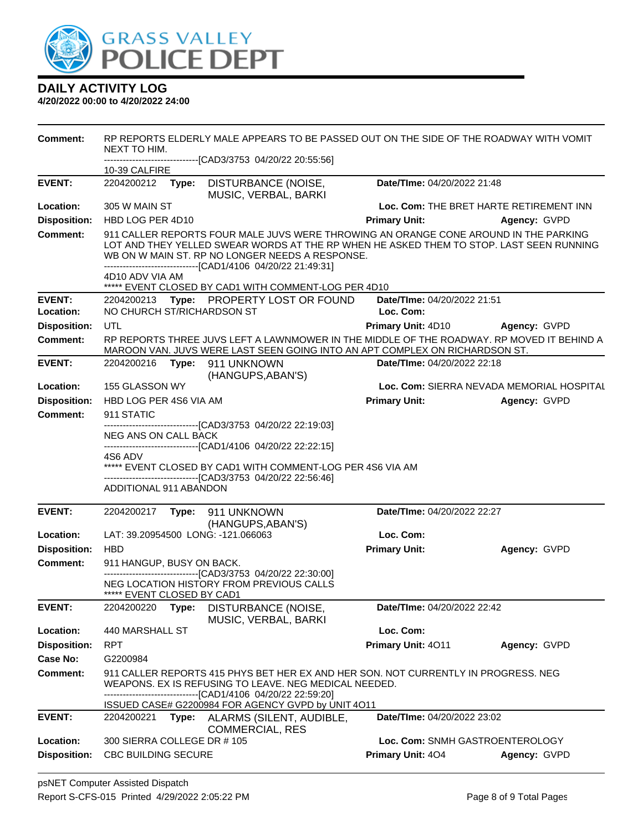

| Comment:                   | RP REPORTS ELDERLY MALE APPEARS TO BE PASSED OUT ON THE SIDE OF THE ROADWAY WITH VOMIT<br>NEXT TO HIM.<br>-------------------------------[CAD3/3753_04/20/22_20:55:56]                                                                                                                            |       |                                                                                                                                                                          |                                          |                                           |  |  |
|----------------------------|---------------------------------------------------------------------------------------------------------------------------------------------------------------------------------------------------------------------------------------------------------------------------------------------------|-------|--------------------------------------------------------------------------------------------------------------------------------------------------------------------------|------------------------------------------|-------------------------------------------|--|--|
|                            | 10-39 CALFIRE                                                                                                                                                                                                                                                                                     |       |                                                                                                                                                                          |                                          |                                           |  |  |
| <b>EVENT:</b>              | 2204200212                                                                                                                                                                                                                                                                                        |       | Type: DISTURBANCE (NOISE,<br>MUSIC, VERBAL, BARKI                                                                                                                        | Date/TIme: 04/20/2022 21:48              |                                           |  |  |
| Location:                  | 305 W MAIN ST                                                                                                                                                                                                                                                                                     |       |                                                                                                                                                                          |                                          | Loc. Com: THE BRET HARTE RETIREMENT INN   |  |  |
| <b>Disposition:</b>        | HBD LOG PER 4D10                                                                                                                                                                                                                                                                                  |       |                                                                                                                                                                          | <b>Primary Unit:</b>                     | Agency: GVPD                              |  |  |
| <b>Comment:</b>            | 911 CALLER REPORTS FOUR MALE JUVS WERE THROWING AN ORANGE CONE AROUND IN THE PARKING<br>LOT AND THEY YELLED SWEAR WORDS AT THE RP WHEN HE ASKED THEM TO STOP. LAST SEEN RUNNING<br>WB ON W MAIN ST. RP NO LONGER NEEDS A RESPONSE.<br>------------------------------[CAD1/4106 04/20/22 21:49:31] |       |                                                                                                                                                                          |                                          |                                           |  |  |
|                            | 4D10 ADV VIA AM                                                                                                                                                                                                                                                                                   |       | ***** EVENT CLOSED BY CAD1 WITH COMMENT-LOG PER 4D10                                                                                                                     |                                          |                                           |  |  |
| <b>EVENT:</b><br>Location: | NO CHURCH ST/RICHARDSON ST                                                                                                                                                                                                                                                                        |       | 2204200213 Type: PROPERTY LOST OR FOUND                                                                                                                                  | Date/TIme: 04/20/2022 21:51<br>Loc. Com: |                                           |  |  |
| <b>Disposition:</b>        | <b>UTL</b>                                                                                                                                                                                                                                                                                        |       |                                                                                                                                                                          | Primary Unit: 4D10 Agency: GVPD          |                                           |  |  |
| <b>Comment:</b>            |                                                                                                                                                                                                                                                                                                   |       | RP REPORTS THREE JUVS LEFT A LAWNMOWER IN THE MIDDLE OF THE ROADWAY. RP MOVED IT BEHIND A<br>MAROON VAN. JUVS WERE LAST SEEN GOING INTO AN APT COMPLEX ON RICHARDSON ST. |                                          |                                           |  |  |
| <b>EVENT:</b>              |                                                                                                                                                                                                                                                                                                   |       | 2204200216    Type: 911    UNKNOWN<br>(HANGUPS, ABAN'S)                                                                                                                  | Date/TIme: 04/20/2022 22:18              |                                           |  |  |
| Location:                  | 155 GLASSON WY                                                                                                                                                                                                                                                                                    |       |                                                                                                                                                                          |                                          | Loc. Com: SIERRA NEVADA MEMORIAL HOSPITAL |  |  |
| <b>Disposition:</b>        | HBD LOG PER 4S6 VIA AM                                                                                                                                                                                                                                                                            |       |                                                                                                                                                                          | <b>Primary Unit:</b>                     | Agency: GVPD                              |  |  |
| <b>Comment:</b>            | 911 STATIC                                                                                                                                                                                                                                                                                        |       |                                                                                                                                                                          |                                          |                                           |  |  |
|                            | ---------------------------------[CAD3/3753 04/20/22 22:19:03]<br>NEG ANS ON CALL BACK                                                                                                                                                                                                            |       |                                                                                                                                                                          |                                          |                                           |  |  |
|                            |                                                                                                                                                                                                                                                                                                   |       | ------------------------------[CAD1/4106 04/20/22 22:22:15]                                                                                                              |                                          |                                           |  |  |
|                            | 4S6 ADV<br>***** EVENT CLOSED BY CAD1 WITH COMMENT-LOG PER 4S6 VIA AM                                                                                                                                                                                                                             |       |                                                                                                                                                                          |                                          |                                           |  |  |
|                            |                                                                                                                                                                                                                                                                                                   |       | -------------------------------[CAD3/3753 04/20/22 22:56:46]                                                                                                             |                                          |                                           |  |  |
|                            | <b>ADDITIONAL 911 ABANDON</b>                                                                                                                                                                                                                                                                     |       |                                                                                                                                                                          |                                          |                                           |  |  |
| <b>EVENT:</b>              | 2204200217                                                                                                                                                                                                                                                                                        |       | Type: 911 UNKNOWN                                                                                                                                                        | Date/TIme: 04/20/2022 22:27              |                                           |  |  |
|                            |                                                                                                                                                                                                                                                                                                   |       | (HANGUPS, ABAN'S)                                                                                                                                                        |                                          |                                           |  |  |
| Location:                  |                                                                                                                                                                                                                                                                                                   |       | LAT: 39.20954500 LONG: -121.066063                                                                                                                                       | Loc. Com:                                |                                           |  |  |
| <b>Disposition:</b>        | <b>HBD</b>                                                                                                                                                                                                                                                                                        |       |                                                                                                                                                                          | <b>Primary Unit:</b>                     | Agency: GVPD                              |  |  |
| Comment:                   | 911 HANGUP, BUSY ON BACK.                                                                                                                                                                                                                                                                         |       |                                                                                                                                                                          |                                          |                                           |  |  |
|                            | ***** EVENT CLOSED BY CAD1                                                                                                                                                                                                                                                                        |       | ------------------------[CAD3/3753_04/20/22_22:30:00]<br>NEG LOCATION HISTORY FROM PREVIOUS CALLS                                                                        |                                          |                                           |  |  |
| <b>EVENT:</b>              | 2204200220                                                                                                                                                                                                                                                                                        | Type: | DISTURBANCE (NOISE,<br>MUSIC, VERBAL, BARKI                                                                                                                              | Date/TIme: 04/20/2022 22:42              |                                           |  |  |
| Location:                  | 440 MARSHALL ST                                                                                                                                                                                                                                                                                   |       |                                                                                                                                                                          | Loc. Com:                                |                                           |  |  |
| <b>Disposition:</b>        | <b>RPT</b>                                                                                                                                                                                                                                                                                        |       |                                                                                                                                                                          | Primary Unit: 4011                       | Agency: GVPD                              |  |  |
| <b>Case No:</b>            | G2200984                                                                                                                                                                                                                                                                                          |       |                                                                                                                                                                          |                                          |                                           |  |  |
| Comment:                   | 911 CALLER REPORTS 415 PHYS BET HER EX AND HER SON. NOT CURRENTLY IN PROGRESS. NEG<br>WEAPONS. EX IS REFUSING TO LEAVE. NEG MEDICAL NEEDED.<br>-------[CAD1/4106 04/20/22 22:59:20]<br>ISSUED CASE# G2200984 FOR AGENCY GVPD by UNIT 4O11                                                         |       |                                                                                                                                                                          |                                          |                                           |  |  |
| <b>EVENT:</b>              | 2204200221                                                                                                                                                                                                                                                                                        |       | Type: ALARMS (SILENT, AUDIBLE,<br><b>COMMERCIAL, RES</b>                                                                                                                 | Date/TIme: 04/20/2022 23:02              |                                           |  |  |
| Location:                  | 300 SIERRA COLLEGE DR #105                                                                                                                                                                                                                                                                        |       |                                                                                                                                                                          | Loc. Com: SNMH GASTROENTEROLOGY          |                                           |  |  |
| <b>Disposition:</b>        | <b>CBC BUILDING SECURE</b>                                                                                                                                                                                                                                                                        |       |                                                                                                                                                                          | Primary Unit: 404                        | Agency: GVPD                              |  |  |